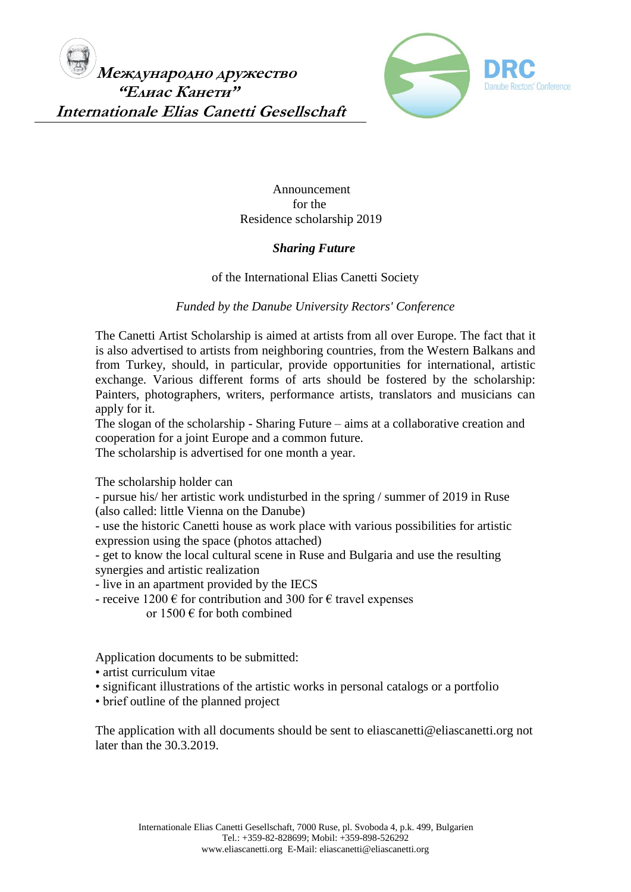

 Announcement for the Residence scholarship 2019

## *Sharing Future*

## of the International Elias Canetti Society

## *Funded by the Danube University Rectors' Conference*

The Canetti Artist Scholarship is aimed at artists from all over Europe. The fact that it is also advertised to artists from neighboring countries, from the Western Balkans and from Turkey, should, in particular, provide opportunities for international, artistic exchange. Various different forms of arts should be fostered by the scholarship: Painters, photographers, writers, performance artists, translators and musicians can apply for it.

The slogan of the scholarship - Sharing Future – aims at a collaborative creation and cooperation for a joint Europe and a common future.

The scholarship is advertised for one month a year.

The scholarship holder can

- pursue his/ her artistic work undisturbed in the spring / summer of 2019 in Ruse (also called: little Vienna on the Danube)

- use the historic Canetti house as work place with various possibilities for artistic expression using the space (photos attached)

- get to know the local cultural scene in Ruse and Bulgaria and use the resulting synergies and artistic realization

- live in an apartment provided by the IECS

- receive 1200  $\epsilon$  for contribution and 300 for  $\epsilon$  travel expenses or  $1500 \text{ }\epsilon$  for both combined

Application documents to be submitted:

- artist curriculum vitae
- significant illustrations of the artistic works in personal catalogs or a portfolio
- brief outline of the planned project

The application with all documents should be sent to eliascanetti@eliascanetti.org not later than the 30.3.2019.